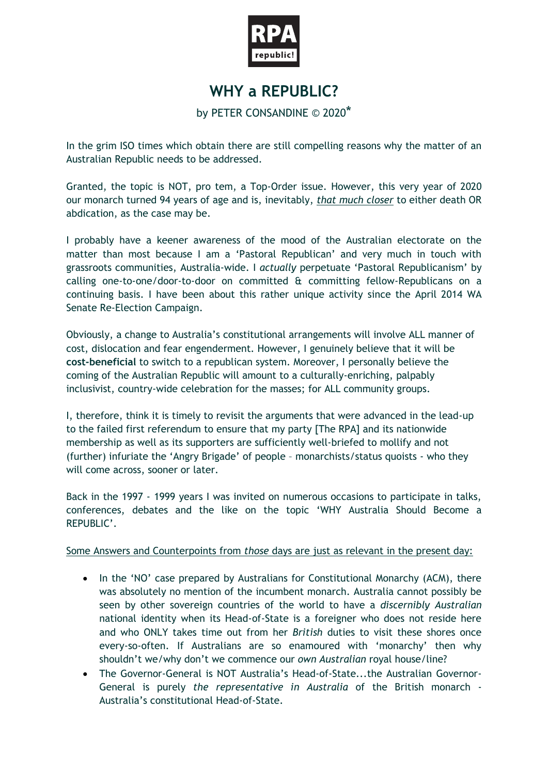

## **WHY a REPUBLIC?**

## by PETER CONSANDINE © 2020\*

In the grim ISO times which obtain there are still compelling reasons why the matter of an Australian Republic needs to be addressed.

Granted, the topic is NOT, pro tem, a Top-Order issue. However, this very year of 2020 our monarch turned 94 years of age and is, inevitably, *that much closer* to either death OR abdication, as the case may be.

I probably have a keener awareness of the mood of the Australian electorate on the matter than most because I am a 'Pastoral Republican' and very much in touch with grassroots communities, Australia-wide. I *actually* perpetuate 'Pastoral Republicanism' by calling one-to-one/door-to-door on committed & committing fellow-Republicans on a continuing basis. I have been about this rather unique activity since the April 2014 WA Senate Re-Election Campaign.

Obviously, a change to Australia's constitutional arrangements will involve ALL manner of cost, dislocation and fear engenderment. However, I genuinely believe that it will be **cost-beneficial** to switch to a republican system. Moreover, I personally believe the coming of the Australian Republic will amount to a culturally-enriching, palpably inclusivist, country-wide celebration for the masses; for ALL community groups.

I, therefore, think it is timely to revisit the arguments that were advanced in the lead-up to the failed first referendum to ensure that my party [The RPA] and its nationwide membership as well as its supporters are sufficiently well-briefed to mollify and not (further) infuriate the 'Angry Brigade' of people – monarchists/status quoists - who they will come across, sooner or later.

Back in the 1997 - 1999 years I was invited on numerous occasions to participate in talks, conferences, debates and the like on the topic 'WHY Australia Should Become a REPUBLIC'.

## Some Answers and Counterpoints from *those* days are just as relevant in the present day:

- In the 'NO' case prepared by Australians for Constitutional Monarchy (ACM), there was absolutely no mention of the incumbent monarch. Australia cannot possibly be seen by other sovereign countries of the world to have a *discernibly Australian* national identity when its Head-of-State is a foreigner who does not reside here and who ONLY takes time out from her *British* duties to visit these shores once every-so-often. If Australians are so enamoured with 'monarchy' then why shouldn't we/why don't we commence our *own Australian* royal house/line?
- The Governor-General is NOT Australia's Head-of-State...the Australian Governor-General is purely *the representative in Australia* of the British monarch - Australia's constitutional Head-of-State.